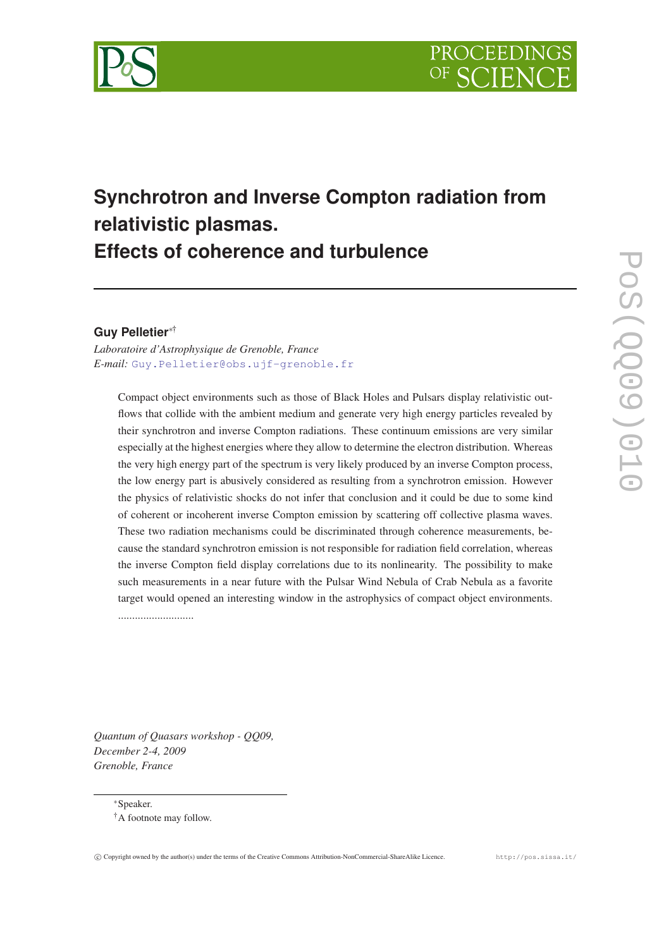

# **Synchrotron and Inverse Compton radiation from relativistic plasmas. Effects of coherence and turbulence**

## **Guy Pelletier**∗†

*Laboratoire d'Astrophysique de Grenoble, France E-mail:* [Guy.Pelletier@obs.ujf-grenoble.fr](mailto:Guy.Pelletier@obs.ujf-grenoble.fr)

Compact object environments such as those of Black Holes and Pulsars display relativistic outflows that collide with the ambient medium and generate very high energy particles revealed by their synchrotron and inverse Compton radiations. These continuum emissions are very similar especially at the highest energies where they allow to determine the electron distribution. Whereas the very high energy part of the spectrum is very likely produced by an inverse Compton process, the low energy part is abusively considered as resulting from a synchrotron emission. However the physics of relativistic shocks do not infer that conclusion and it could be due to some kind of coherent or incoherent inverse Compton emission by scattering off collective plasma waves. These two radiation mechanisms could be discriminated through coherence measurements, because the standard synchrotron emission is not responsible for radiation field correlation, whereas the inverse Compton field display correlations due to its nonlinearity. The possibility to make such measurements in a near future with the Pulsar Wind Nebula of Crab Nebula as a favorite target would opened an interesting window in the astrophysics of compact object environments. ...........................

*Quantum of Quasars workshop - QQ09, December 2-4, 2009 Grenoble, France*

<sup>∗</sup>Speaker.

<sup>†</sup>A footnote may follow.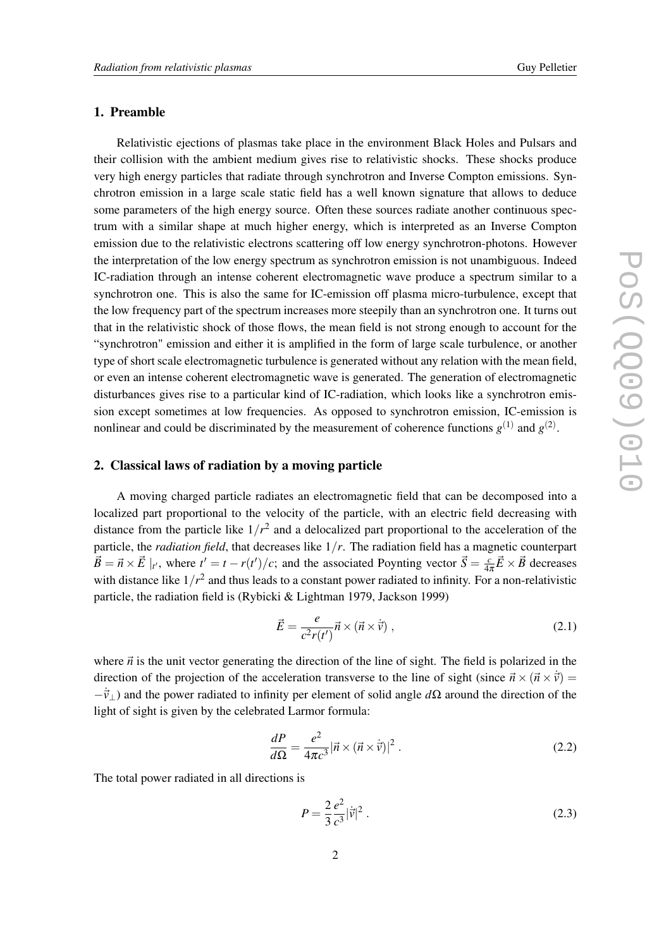## 1. Preamble

Relativistic ejections of plasmas take place in the environment Black Holes and Pulsars and their collision with the ambient medium gives rise to relativistic shocks. These shocks produce very high energy particles that radiate through synchrotron and Inverse Compton emissions. Synchrotron emission in a large scale static field has a well known signature that allows to deduce some parameters of the high energy source. Often these sources radiate another continuous spectrum with a similar shape at much higher energy, which is interpreted as an Inverse Compton emission due to the relativistic electrons scattering off low energy synchrotron-photons. However the interpretation of the low energy spectrum as synchrotron emission is not unambiguous. Indeed IC-radiation through an intense coherent electromagnetic wave produce a spectrum similar to a synchrotron one. This is also the same for IC-emission off plasma micro-turbulence, except that the low frequency part of the spectrum increases more steepily than an synchrotron one. It turns out that in the relativistic shock of those flows, the mean field is not strong enough to account for the "synchrotron" emission and either it is amplified in the form of large scale turbulence, or another type of short scale electromagnetic turbulence is generated without any relation with the mean field, or even an intense coherent electromagnetic wave is generated. The generation of electromagnetic disturbances gives rise to a particular kind of IC-radiation, which looks like a synchrotron emission except sometimes at low frequencies. As opposed to synchrotron emission, IC-emission is nonlinear and could be discriminated by the measurement of coherence functions  $g^{(1)}$  and  $g^{(2)}$ .

## 2. Classical laws of radiation by a moving particle

A moving charged particle radiates an electromagnetic field that can be decomposed into a localized part proportional to the velocity of the particle, with an electric field decreasing with distance from the particle like  $1/r^2$  and a delocalized part proportional to the acceleration of the particle, the *radiation field*, that decreases like 1/*r*. The radiation field has a magnetic counterpart  $\vec{B} = \vec{n} \times \vec{E} \mid_{t'}$ , where  $t' = t - r(t')/c$ ; and the associated Poynting vector  $\vec{S} = \frac{c}{4a}$  $\frac{c}{4\pi}\vec{E}\times\vec{B}$  decreases with distance like  $1/r^2$  and thus leads to a constant power radiated to infinity. For a non-relativistic particle, the radiation field is (Rybicki & Lightman 1979, Jackson 1999)

$$
\vec{E} = \frac{e}{c^2 r(t')} \vec{n} \times (\vec{n} \times \dot{\vec{v}}) , \qquad (2.1)
$$

where  $\vec{n}$  is the unit vector generating the direction of the line of sight. The field is polarized in the direction of the projection of the acceleration transverse to the line of sight (since  $\vec{n} \times (\vec{n} \times \dot{\vec{v}})$ ) =  $-\vec{v}_\perp$ ) and the power radiated to infinity per element of solid angle *d*Ω around the direction of the light of sight is given by the celebrated Larmor formula:

$$
\frac{dP}{d\Omega} = \frac{e^2}{4\pi c^3} |\vec{n} \times (\vec{n} \times \dot{\vec{v}})|^2.
$$
 (2.2)

The total power radiated in all directions is

$$
P = \frac{2}{3} \frac{e^2}{c^3} |\vec{v}|^2 \,. \tag{2.3}
$$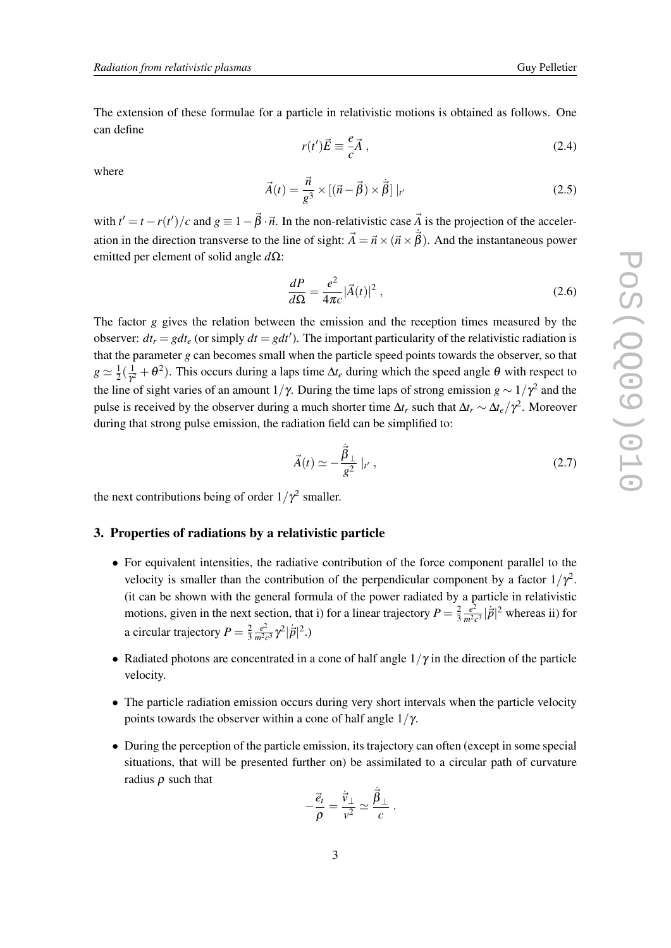The extension of these formulae for a particle in relativistic motions is obtained as follows. One can define

$$
r(t')\vec{E} \equiv \frac{e}{c}\vec{A},\qquad(2.4)
$$

where

$$
\vec{A}(t) = \frac{\vec{n}}{g^3} \times \left[ (\vec{n} - \vec{\beta}) \times \dot{\vec{\beta}} \right] |_{t'}
$$
\n(2.5)

with  $t' = t - r(t')/c$  and  $g \equiv 1 - \vec{\beta} \cdot \vec{n}$ . In the non-relativistic case  $\vec{A}$  is the projection of the acceleration in the direction transverse to the line of sight:  $\vec{A} = \vec{n} \times (\vec{n} \times \vec{\beta})$ . And the instantaneous power emitted per element of solid angle *d*Ω:

$$
\frac{dP}{d\Omega} = \frac{e^2}{4\pi c} |\vec{A}(t)|^2 , \qquad (2.6)
$$

The factor *g* gives the relation between the emission and the reception times measured by the observer:  $dt_r = gdt_e$  (or simply  $dt = gdt'$ ). The important particularity of the relativistic radiation is that the parameter *g* can becomes small when the particle speed points towards the observer, so that  $g \simeq \frac{1}{2}$  $rac{1}{2}(\frac{1}{\gamma^2})$  $\frac{1}{\gamma^2} + \theta^2$ ). This occurs during a laps time  $\Delta t_e$  during which the speed angle  $\theta$  with respect to the line of sight varies of an amount  $1/\gamma$ . During the time laps of strong emission *g* ~  $1/\gamma^2$  and the pulse is received by the observer during a much shorter time  $\Delta t_r$  such that  $\Delta t_r \sim \Delta t_e/\gamma^2$ . Moreover during that strong pulse emission, the radiation field can be simplified to:

$$
\vec{A}(t) \simeq -\frac{\dot{\vec{\beta}}_{\perp}}{g^2} \mid_{t'}, \qquad (2.7)
$$

the next contributions being of order  $1/\gamma^2$  smaller.

#### 3. Properties of radiations by a relativistic particle

- For equivalent intensities, the radiative contribution of the force component parallel to the velocity is smaller than the contribution of the perpendicular component by a factor  $1/\gamma^2$ . (it can be shown with the general formula of the power radiated by a particle in relativistic motions, given in the next section, that i) for a linear trajectory  $P = \frac{2}{3}$ 3 *e* 2  $\frac{e^2}{m^2c^3}|\dot{\vec{p}}|^2$  whereas ii) for a circular trajectory  $P = \frac{2}{3}$ 3 *e* 2  $\frac{e^2}{m^2c^3}\gamma^2|\dot{\vec{p}}|^2.$ )
- Radiated photons are concentrated in a cone of half angle  $1/\gamma$  in the direction of the particle velocity.
- The particle radiation emission occurs during very short intervals when the particle velocity points towards the observer within a cone of half angle  $1/\gamma$ .
- During the perception of the particle emission, its trajectory can often (except in some special situations, that will be presented further on) be assimilated to a circular path of curvature radius  $\rho$  such that

$$
-\frac{\vec{e}_t}{\rho} = \frac{\vec{v}_{\perp}}{v^2} \simeq \frac{\vec{\beta}_{\perp}}{c} .
$$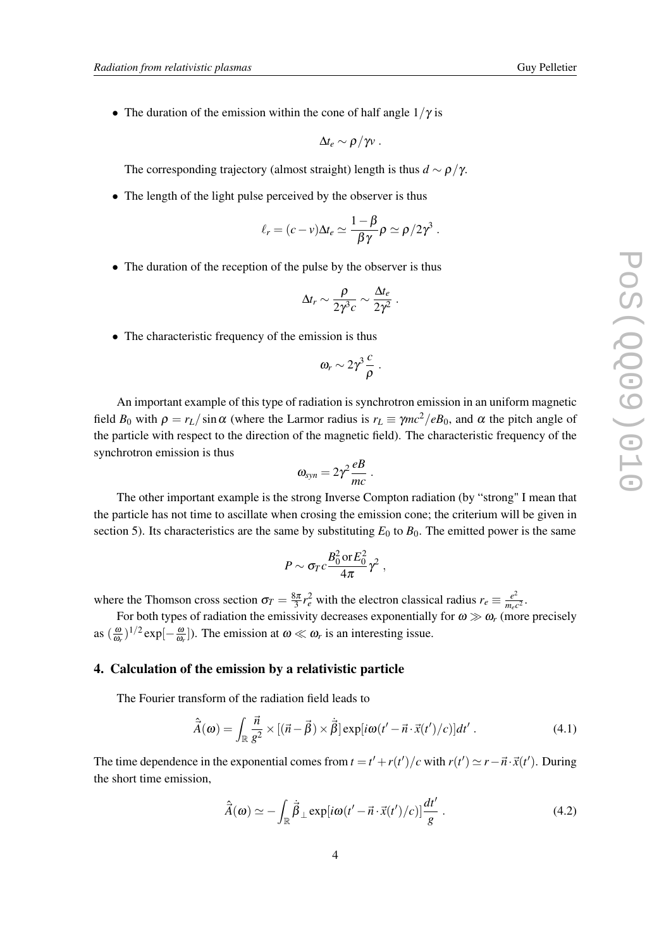<span id="page-3-0"></span>• The duration of the emission within the cone of half angle  $1/\gamma$  is

$$
\Delta t_e \sim \rho/\gamma v \ .
$$

The corresponding trajectory (almost straight) length is thus  $d \sim \rho/\gamma$ .

• The length of the light pulse perceived by the observer is thus

$$
\ell_r = (c - v)\Delta t_e \simeq \frac{1 - \beta}{\beta \gamma} \rho \simeq \rho / 2 \gamma^3.
$$

• The duration of the reception of the pulse by the observer is thus

$$
\Delta t_r \sim \frac{\rho}{2\gamma^3 c} \sim \frac{\Delta t_e}{2\gamma^2} .
$$

• The characteristic frequency of the emission is thus

$$
\omega_r\sim 2\gamma^3\frac{c}{\rho}.
$$

An important example of this type of radiation is synchrotron emission in an uniform magnetic field  $B_0$  with  $\rho = r_L / \sin \alpha$  (where the Larmor radius is  $r_L \equiv \gamma mc^2 / eB_0$ , and  $\alpha$  the pitch angle of the particle with respect to the direction of the magnetic field). The characteristic frequency of the synchrotron emission is thus

$$
\omega_{syn}=2\gamma^2\frac{eB}{mc}.
$$

The other important example is the strong Inverse Compton radiation (by "strong" I mean that the particle has not time to ascillate when crosing the emission cone; the criterium will be given in section 5). Its characteristics are the same by substituting  $E_0$  to  $B_0$ . The emitted power is the same

$$
P \sim \sigma_T c \frac{B_0^2 \text{ or } E_0^2}{4\pi} \gamma^2 ,
$$

where the Thomson cross section  $\sigma_T = \frac{8\pi}{3} r_e^2$  with the electron classical radius  $r_e \equiv \frac{e^2}{m_{e'}}$  $\frac{e^2}{m_e c^2}$ .

For both types of radiation the emissivity decreases exponentially for  $\omega \gg \omega_r$  (more precisely as  $\left(\frac{\omega}{\omega}\right)$  $\frac{\omega}{\omega_r}$ )<sup>1/2</sup> exp[ $-\frac{\omega}{\omega_r}$  $\frac{\omega}{\omega_r}$ ]). The emission at  $\omega \ll \omega_r$  is an interesting issue.

#### 4. Calculation of the emission by a relativistic particle

The Fourier transform of the radiation field leads to

$$
\hat{\vec{A}}(\boldsymbol{\omega}) = \int_{\mathbb{R}} \frac{\vec{n}}{g^2} \times [(\vec{n} - \vec{\beta}) \times \vec{\beta}] \exp[i\omega(t' - \vec{n} \cdot \vec{x}(t')/c)]dt' . \tag{4.1}
$$

The time dependence in the exponential comes from  $t = t' + r(t')/c$  with  $r(t') \simeq r - \vec{n} \cdot \vec{x}(t')$ . During the short time emission,

$$
\hat{\vec{A}}(\boldsymbol{\omega}) \simeq -\int_{\mathbb{R}} \vec{\beta}_{\perp} \exp[i\boldsymbol{\omega}(t'-\vec{n}\cdot\vec{x}(t')/c)]\frac{dt'}{g}.
$$
\n(4.2)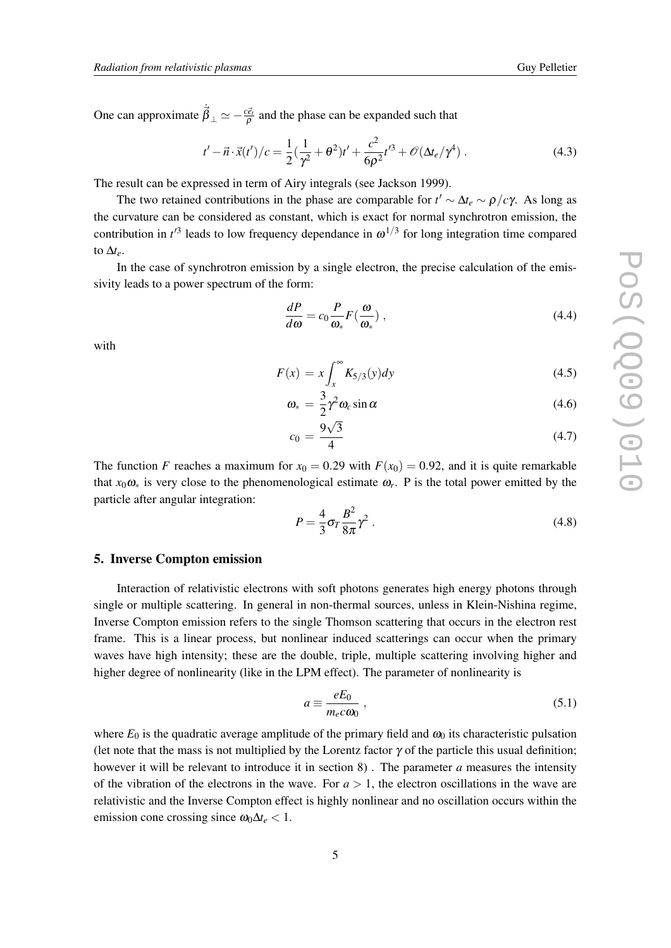One can approximate  $\dot{\vec{\beta}}_{\perp} \simeq -\frac{c\vec{e}_t}{\rho}$  and the phase can be expanded such that

$$
t' - \vec{n} \cdot \vec{x}(t') / c = \frac{1}{2} (\frac{1}{\gamma^2} + \theta^2) t' + \frac{c^2}{6\rho^2} t'^3 + \mathcal{O}(\Delta t_e / \gamma^4) \,. \tag{4.3}
$$

The result can be expressed in term of Airy integrals (see Jackson 1999).

The two retained contributions in the phase are comparable for  $t' \sim \Delta t_e \sim \rho/c\gamma$ . As long as the curvature can be considered as constant, which is exact for normal synchrotron emission, the contribution in  $t^3$  leads to low frequency dependance in  $\omega^{1/3}$  for long integration time compared to  $\Delta t_e$ .

In the case of synchrotron emission by a single electron, the precise calculation of the emissivity leads to a power spectrum of the form:

$$
\frac{dP}{d\omega} = c_0 \frac{P}{\omega_*} F(\frac{\omega}{\omega_*}),\tag{4.4}
$$

with

$$
F(x) = x \int_{x}^{\infty} K_{5/3}(y) dy
$$
\n(4.5)

$$
\omega_* = \frac{3}{2} \gamma^2 \omega_c \sin \alpha \tag{4.6}
$$

$$
c_0 = \frac{9\sqrt{3}}{4} \tag{4.7}
$$

The function *F* reaches a maximum for  $x_0 = 0.29$  with  $F(x_0) = 0.92$ , and it is quite remarkable that  $x_0 \omega_*$  is very close to the phenomenological estimate  $\omega_r$ . P is the total power emitted by the particle after angular integration:

$$
P = \frac{4}{3}\sigma_T \frac{B^2}{8\pi} \gamma^2 \,. \tag{4.8}
$$

#### 5. Inverse Compton emission

Interaction of relativistic electrons with soft photons generates high energy photons through single or multiple scattering. In general in non-thermal sources, unless in Klein-Nishina regime, Inverse Compton emission refers to the single Thomson scattering that occurs in the electron rest frame. This is a linear process, but nonlinear induced scatterings can occur when the primary waves have high intensity; these are the double, triple, multiple scattering involving higher and higher degree of nonlinearity (like in the LPM effect). The parameter of nonlinearity is

$$
a \equiv \frac{eE_0}{m_e c \omega_0} \,,\tag{5.1}
$$

where  $E_0$  is the quadratic average amplitude of the primary field and  $\omega_0$  its characteristic pulsation (let note that the mass is not multiplied by the Lorentz factor  $\gamma$  of the particle this usual definition; however it will be relevant to introduce it in section 8) . The parameter *a* measures the intensity of the vibration of the electrons in the wave. For  $a > 1$ , the electron oscillations in the wave are relativistic and the Inverse Compton effect is highly nonlinear and no oscillation occurs within the emission cone crossing since  $\omega_0 \Delta t_e < 1$ .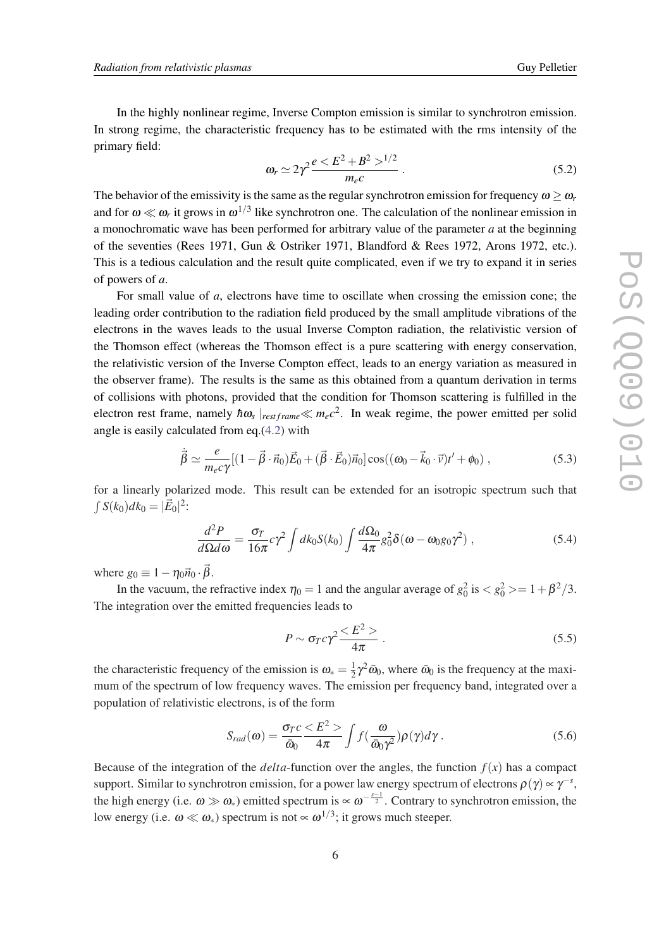In the highly nonlinear regime, Inverse Compton emission is similar to synchrotron emission. In strong regime, the characteristic frequency has to be estimated with the rms intensity of the primary field:

$$
\omega_r \simeq 2\gamma^2 \frac{e < E^2 + B^2 >^{1/2}}{m_e c} \,. \tag{5.2}
$$

The behavior of the emissivity is the same as the regular synchrotron emission for frequency  $\omega > \omega_r$ and for  $\omega \ll \omega_r$  it grows in  $\omega^{1/3}$  like synchrotron one. The calculation of the nonlinear emission in a monochromatic wave has been performed for arbitrary value of the parameter *a* at the beginning of the seventies (Rees 1971, Gun & Ostriker 1971, Blandford & Rees 1972, Arons 1972, etc.). This is a tedious calculation and the result quite complicated, even if we try to expand it in series of powers of *a*.

For small value of *a*, electrons have time to oscillate when crossing the emission cone; the leading order contribution to the radiation field produced by the small amplitude vibrations of the electrons in the waves leads to the usual Inverse Compton radiation, the relativistic version of the Thomson effect (whereas the Thomson effect is a pure scattering with energy conservation, the relativistic version of the Inverse Compton effect, leads to an energy variation as measured in the observer frame). The results is the same as this obtained from a quantum derivation in terms of collisions with photons, provided that the condition for Thomson scattering is fulfilled in the electron rest frame, namely  $\hbar \omega_s |_{restframe} \ll m_e c^2$ . In weak regime, the power emitted per solid angle is easily calculated from eq.[\(4.2](#page-3-0)) with

$$
\dot{\vec{\beta}} \simeq \frac{e}{m_e c \gamma} [(1 - \vec{\beta} \cdot \vec{n}_0) \vec{E}_0 + (\vec{\beta} \cdot \vec{E}_0) \vec{n}_0] \cos((\omega_0 - \vec{k}_0 \cdot \vec{v}) t' + \phi_0), \qquad (5.3)
$$

for a linearly polarized mode. This result can be extended for an isotropic spectrum such that  $\int S(k_0)dk_0 = |\vec{E}_0|^2$ :

$$
\frac{d^2P}{d\Omega d\omega} = \frac{\sigma_T}{16\pi} c\gamma^2 \int dk_0 S(k_0) \int \frac{d\Omega_0}{4\pi} g_0^2 \delta(\omega - \omega_0 g_0 \gamma^2) , \qquad (5.4)
$$

where  $g_0 \equiv 1 - \eta_0 \vec{n}_0 \cdot \vec{\beta}$ .

In the vacuum, the refractive index  $\eta_0 = 1$  and the angular average of  $g_0^2$  is  $\langle g_0^2 \rangle = 1 + \beta^2/3$ . The integration over the emitted frequencies leads to

$$
P \sim \sigma_T c \gamma^2 \frac{}{4\pi} \,. \tag{5.5}
$$

the characteristic frequency of the emission is  $\omega_* = \frac{1}{2}$  $\frac{1}{2}\gamma^2 \bar{\omega}_0$ , where  $\bar{\omega}_0$  is the frequency at the maximum of the spectrum of low frequency waves. The emission per frequency band, integrated over a population of relativistic electrons, is of the form

$$
S_{rad}(\omega) = \frac{\sigma_T c}{\bar{\omega}_0} \frac{\langle E^2 \rangle}{4\pi} \int f(\frac{\omega}{\bar{\omega}_0 \gamma^2}) \rho(\gamma) d\gamma.
$$
 (5.6)

Because of the integration of the *delta*-function over the angles, the function  $f(x)$  has a compact support. Similar to synchrotron emission, for a power law energy spectrum of electrons  $\rho(\gamma) \propto \gamma^{-s}$ , the high energy (i.e.  $\omega \gg \omega_*$ ) emitted spectrum is  $\propto \omega^{-\frac{s-1}{2}}$ . Contrary to synchrotron emission, the low energy (i.e.  $\omega \ll \omega_*$ ) spectrum is not  $\propto \omega^{1/3}$ ; it grows much steeper.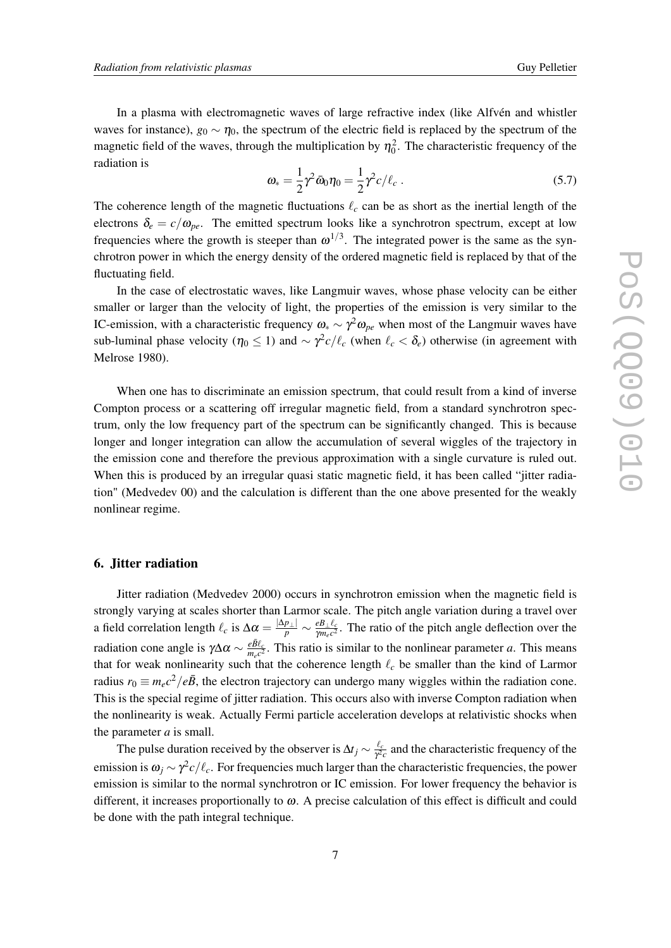In a plasma with electromagnetic waves of large refractive index (like Alfvén and whistler waves for instance),  $g_0 \sim \eta_0$ , the spectrum of the electric field is replaced by the spectrum of the magnetic field of the waves, through the multiplication by  $\eta_0^2$ . The characteristic frequency of the radiation is

$$
\omega_* = \frac{1}{2} \gamma^2 \bar{\omega}_0 \eta_0 = \frac{1}{2} \gamma^2 c / \ell_c \ . \tag{5.7}
$$

The coherence length of the magnetic fluctuations  $\ell_c$  can be as short as the inertial length of the electrons  $\delta_e = c/\omega_{pe}$ . The emitted spectrum looks like a synchrotron spectrum, except at low frequencies where the growth is steeper than  $\omega^{1/3}$ . The integrated power is the same as the synchrotron power in which the energy density of the ordered magnetic field is replaced by that of the fluctuating field.

In the case of electrostatic waves, like Langmuir waves, whose phase velocity can be either smaller or larger than the velocity of light, the properties of the emission is very similar to the IC-emission, with a characteristic frequency  $\omega_* \sim \gamma^2 \omega_{pe}$  when most of the Langmuir waves have sub-luminal phase velocity ( $\eta_0 \le 1$ ) and  $\sim \gamma^2 c/\ell_c$  (when  $\ell_c < \delta_e$ ) otherwise (in agreement with Melrose 1980).

When one has to discriminate an emission spectrum, that could result from a kind of inverse Compton process or a scattering off irregular magnetic field, from a standard synchrotron spectrum, only the low frequency part of the spectrum can be significantly changed. This is because longer and longer integration can allow the accumulation of several wiggles of the trajectory in the emission cone and therefore the previous approximation with a single curvature is ruled out. When this is produced by an irregular quasi static magnetic field, it has been called "jitter radiation" (Medvedev 00) and the calculation is different than the one above presented for the weakly nonlinear regime.

## 6. Jitter radiation

Jitter radiation (Medvedev 2000) occurs in synchrotron emission when the magnetic field is strongly varying at scales shorter than Larmor scale. The pitch angle variation during a travel over a field correlation length  $\ell_c$  is  $\Delta \alpha = \frac{|\Delta p_\perp|}{p} \sim \frac{e B_\perp \ell_c}{\gamma m_e c^2}$  $\frac{e^{B_{\perp}t_c}}{\gamma m_e c^2}$ . The ratio of the pitch angle deflection over the radiation cone angle is  $\gamma \Delta \alpha \sim \frac{e \bar{B} \ell_c}{m_c c^2}$  $\frac{e^{BL_c}}{m_e c^2}$ . This ratio is similar to the nonlinear parameter *a*. This means that for weak nonlinearity such that the coherence length  $\ell_c$  be smaller than the kind of Larmor radius  $r_0 \equiv m_e c^2 / e \bar{B}$ , the electron trajectory can undergo many wiggles within the radiation cone. This is the special regime of jitter radiation. This occurs also with inverse Compton radiation when the nonlinearity is weak. Actually Fermi particle acceleration develops at relativistic shocks when the parameter *a* is small.

The pulse duration received by the observer is  $\Delta t_j \sim \frac{\ell_c}{\gamma^2}$  $\frac{\ell_c}{\gamma^2c}$  and the characteristic frequency of the emission is  $\omega_j \sim \gamma^2 c/\ell_c$ . For frequencies much larger than the characteristic frequencies, the power emission is similar to the normal synchrotron or IC emission. For lower frequency the behavior is different, it increases proportionally to  $\omega$ . A precise calculation of this effect is difficult and could be done with the path integral technique.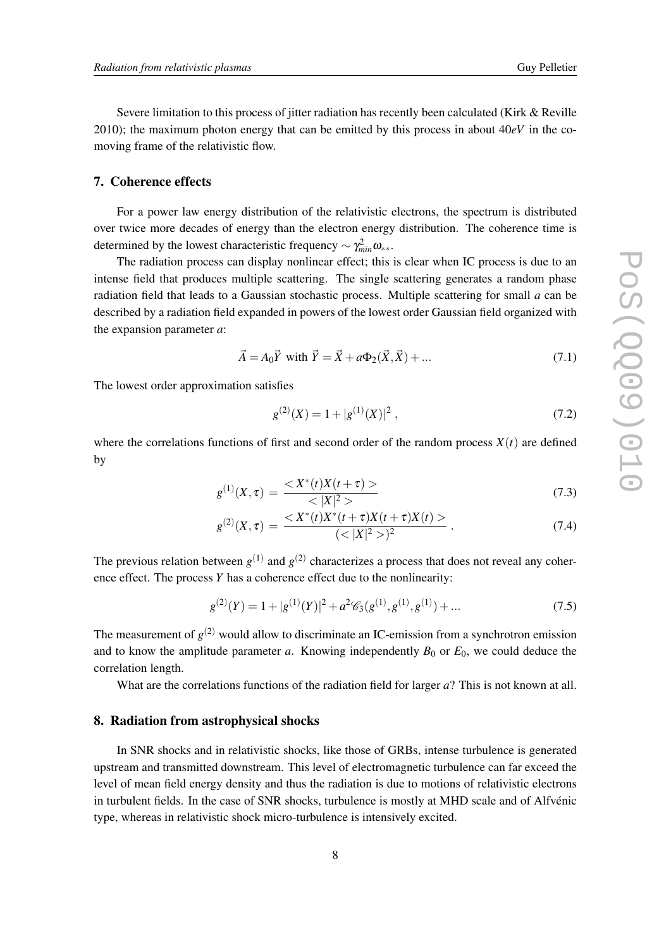Severe limitation to this process of jitter radiation has recently been calculated (Kirk & Reville 2010); the maximum photon energy that can be emitted by this process in about  $40eV$  in the comoving frame of the relativistic flow.

#### 7. Coherence effects

For a power law energy distribution of the relativistic electrons, the spectrum is distributed over twice more decades of energy than the electron energy distribution. The coherence time is determined by the lowest characteristic frequency  $\sim \gamma^2_{min} \omega_{**}$ .

The radiation process can display nonlinear effect; this is clear when IC process is due to an intense field that produces multiple scattering. The single scattering generates a random phase radiation field that leads to a Gaussian stochastic process. Multiple scattering for small *a* can be described by a radiation field expanded in powers of the lowest order Gaussian field organized with the expansion parameter *a*:

$$
\vec{A} = A_0 \vec{Y} \text{ with } \vec{Y} = \vec{X} + a\Phi_2(\vec{X}, \vec{X}) + ... \tag{7.1}
$$

The lowest order approximation satisfies

$$
g^{(2)}(X) = 1 + |g^{(1)}(X)|^2, \tag{7.2}
$$

where the correlations functions of first and second order of the random process  $X(t)$  are defined by

$$
g^{(1)}(X,\tau) = \frac{\langle X^*(t)X(t+\tau) \rangle}{\langle |X|^2 \rangle} \tag{7.3}
$$

$$
g^{(2)}(X,\tau) = \frac{< X^*(t)X^*(t+\tau)X(t+\tau)X(t) >}{(< |X|^2 >)^2} \tag{7.4}
$$

The previous relation between  $g^{(1)}$  and  $g^{(2)}$  characterizes a process that does not reveal any coherence effect. The process *Y* has a coherence effect due to the nonlinearity:

$$
g^{(2)}(Y) = 1 + |g^{(1)}(Y)|^2 + a^2 \mathcal{C}_3(g^{(1)}, g^{(1)}, g^{(1)}) + \dots
$$
\n(7.5)

The measurement of  $g^{(2)}$  would allow to discriminate an IC-emission from a synchrotron emission and to know the amplitude parameter  $a$ . Knowing independently  $B_0$  or  $E_0$ , we could deduce the correlation length.

What are the correlations functions of the radiation field for larger *a*? This is not known at all.

## 8. Radiation from astrophysical shocks

In SNR shocks and in relativistic shocks, like those of GRBs, intense turbulence is generated upstream and transmitted downstream. This level of electromagnetic turbulence can far exceed the level of mean field energy density and thus the radiation is due to motions of relativistic electrons in turbulent fields. In the case of SNR shocks, turbulence is mostly at MHD scale and of Alfvénic type, whereas in relativistic shock micro-turbulence is intensively excited.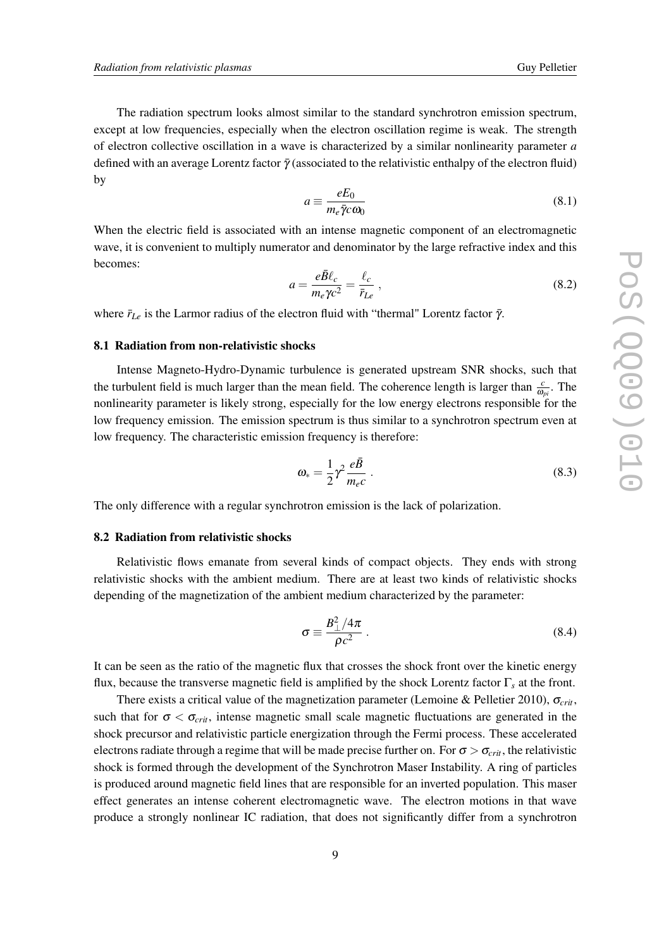The radiation spectrum looks almost similar to the standard synchrotron emission spectrum, except at low frequencies, especially when the electron oscillation regime is weak. The strength of electron collective oscillation in a wave is characterized by a similar nonlinearity parameter *a* defined with an average Lorentz factor  $\bar{\gamma}$  (associated to the relativistic enthalpy of the electron fluid) by

$$
a \equiv \frac{eE_0}{m_e \bar{\gamma} c \omega_0} \tag{8.1}
$$

When the electric field is associated with an intense magnetic component of an electromagnetic wave, it is convenient to multiply numerator and denominator by the large refractive index and this becomes:

$$
a = \frac{e\bar{B}\ell_c}{m_e\gamma c^2} = \frac{\ell_c}{\bar{r}_{Le}}\,,\tag{8.2}
$$

where  $\bar{r}_{Le}$  is the Larmor radius of the electron fluid with "thermal" Lorentz factor  $\bar{\gamma}$ .

#### 8.1 Radiation from non-relativistic shocks

Intense Magneto-Hydro-Dynamic turbulence is generated upstream SNR shocks, such that the turbulent field is much larger than the mean field. The coherence length is larger than  $\frac{c}{\omega_{pi}}$ . The nonlinearity parameter is likely strong, especially for the low energy electrons responsible for the low frequency emission. The emission spectrum is thus similar to a synchrotron spectrum even at low frequency. The characteristic emission frequency is therefore:

$$
\omega_* = \frac{1}{2} \gamma^2 \frac{e\bar{B}}{m_e c} \,. \tag{8.3}
$$

The only difference with a regular synchrotron emission is the lack of polarization.

## 8.2 Radiation from relativistic shocks

Relativistic flows emanate from several kinds of compact objects. They ends with strong relativistic shocks with the ambient medium. There are at least two kinds of relativistic shocks depending of the magnetization of the ambient medium characterized by the parameter:

$$
\sigma \equiv \frac{B_{\perp}^2/4\pi}{\rho c^2} \ . \tag{8.4}
$$

It can be seen as the ratio of the magnetic flux that crosses the shock front over the kinetic energy flux, because the transverse magnetic field is amplified by the shock Lorentz factor Γ*<sup>s</sup>* at the front.

There exists a critical value of the magnetization parameter (Lemoine & Pelletier 2010), σ*crit*, such that for  $\sigma < \sigma_{crit}$ , intense magnetic small scale magnetic fluctuations are generated in the shock precursor and relativistic particle energization through the Fermi process. These accelerated electrons radiate through a regime that will be made precise further on. For  $\sigma > \sigma_{crit}$ , the relativistic shock is formed through the development of the Synchrotron Maser Instability. A ring of particles is produced around magnetic field lines that are responsible for an inverted population. This maser effect generates an intense coherent electromagnetic wave. The electron motions in that wave produce a strongly nonlinear IC radiation, that does not significantly differ from a synchrotron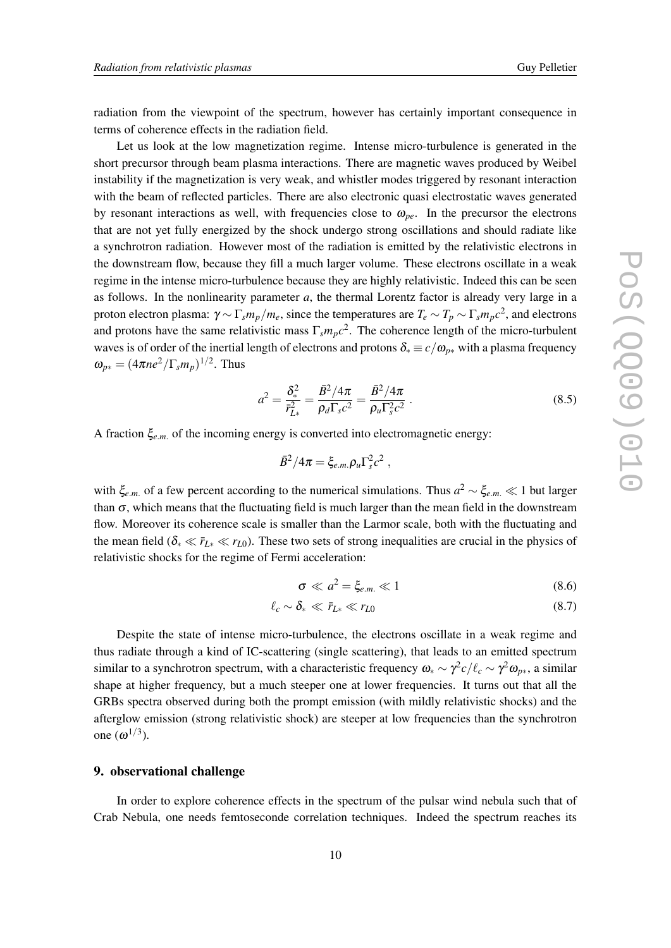radiation from the viewpoint of the spectrum, however has certainly important consequence in terms of coherence effects in the radiation field.

Let us look at the low magnetization regime. Intense micro-turbulence is generated in the short precursor through beam plasma interactions. There are magnetic waves produced by Weibel instability if the magnetization is very weak, and whistler modes triggered by resonant interaction with the beam of reflected particles. There are also electronic quasi electrostatic waves generated by resonant interactions as well, with frequencies close to  $\omega_{pe}$ . In the precursor the electrons that are not yet fully energized by the shock undergo strong oscillations and should radiate like a synchrotron radiation. However most of the radiation is emitted by the relativistic electrons in the downstream flow, because they fill a much larger volume. These electrons oscillate in a weak regime in the intense micro-turbulence because they are highly relativistic. Indeed this can be seen as follows. In the nonlinearity parameter *a*, the thermal Lorentz factor is already very large in a proton electron plasma: γ ∼ Γ*smp*/*me*, since the temperatures are *T<sup>e</sup>* ∼ *T<sup>p</sup>* ∼ Γ*smpc* 2 , and electrons and protons have the same relativistic mass  $\Gamma_s m_p c^2$ . The coherence length of the micro-turbulent waves is of order of the inertial length of electrons and protons  $\delta_* \equiv c/\omega_{p*}$  with a plasma frequency  $\omega_{p*} = (4\pi n e^2/\Gamma_s m_p)^{1/2}$ . Thus

$$
a^2 = \frac{\delta_*^2}{\bar{r}_{L*}^2} = \frac{\bar{B}^2/4\pi}{\rho_d \Gamma_s c^2} = \frac{\bar{B}^2/4\pi}{\rho_u \Gamma_s^2 c^2} \,. \tag{8.5}
$$

,

A fraction ξ*e*.*m*. of the incoming energy is converted into electromagnetic energy:

$$
\bar{B}^2/4\pi = \xi_{e.m.}\rho_u\Gamma_s^2c^2
$$

with  $\xi_{e,m}$  of a few percent according to the numerical simulations. Thus  $a^2 \sim \xi_{e,m} \ll 1$  but larger than  $\sigma$ , which means that the fluctuating field is much larger than the mean field in the downstream flow. Moreover its coherence scale is smaller than the Larmor scale, both with the fluctuating and the mean field ( $\delta_* \ll \bar{r}_{L*} \ll r_{L0}$ ). These two sets of strong inequalities are crucial in the physics of relativistic shocks for the regime of Fermi acceleration:

$$
\sigma \ll a^2 = \xi_{e.m.} \ll 1 \tag{8.6}
$$

$$
\ell_c \sim \delta_* \ll \bar{r}_{L*} \ll r_{L0} \tag{8.7}
$$

Despite the state of intense micro-turbulence, the electrons oscillate in a weak regime and thus radiate through a kind of IC-scattering (single scattering), that leads to an emitted spectrum similar to a synchrotron spectrum, with a characteristic frequency  $\omega_* \sim \gamma^2 c/\ell_c \sim \gamma^2 \omega_{p*}$ , a similar shape at higher frequency, but a much steeper one at lower frequencies. It turns out that all the GRBs spectra observed during both the prompt emission (with mildly relativistic shocks) and the afterglow emission (strong relativistic shock) are steeper at low frequencies than the synchrotron one  $(\omega^{1/3})$ .

### 9. observational challenge

In order to explore coherence effects in the spectrum of the pulsar wind nebula such that of Crab Nebula, one needs femtoseconde correlation techniques. Indeed the spectrum reaches its